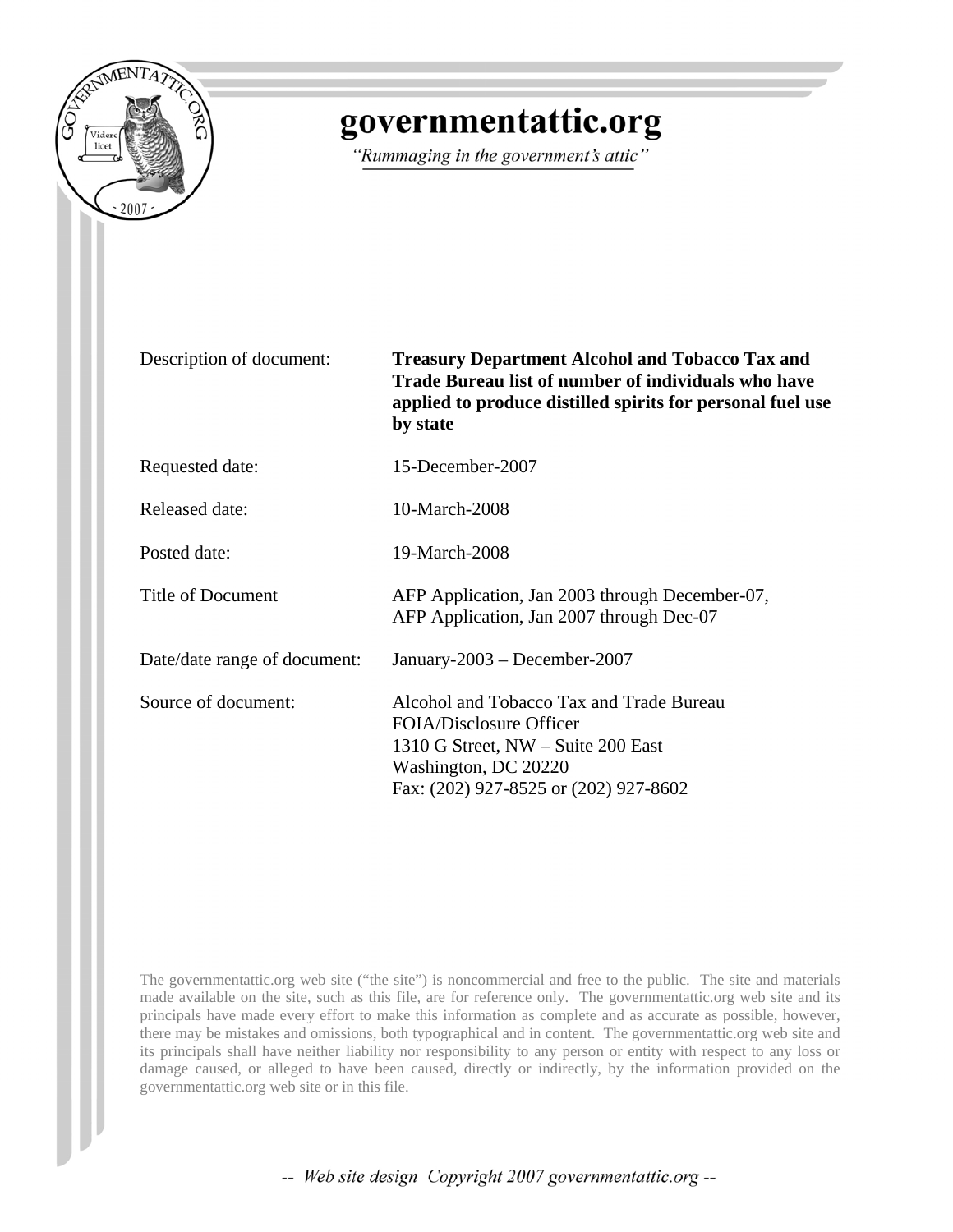

## governmentattic.org

"Rummaging in the government's attic"

Description of document: **Treasury Department Alcohol and Tobacco Tax and Trade Bureau list of number of individuals who have applied to produce distilled spirits for personal fuel use by state**

Requested date: 15-December-2007

Released date: 10-March-2008

Posted date: 19-March-2008

Title of Document AFP Application, Jan 2003 through December-07,

Date/date range of document: January-2003 – December-2007

Source of document: Alcohol and Tobacco Tax and Trade Bureau FOIA/Disclosure Officer 1310 G Street, NW – Suite 200 East Washington, DC 20220 Fax: (202) 927-8525 or (202) 927-8602

AFP Application, Jan 2007 through Dec-07

The governmentattic.org web site ("the site") is noncommercial and free to the public. The site and materials made available on the site, such as this file, are for reference only. The governmentattic.org web site and its principals have made every effort to make this information as complete and as accurate as possible, however, there may be mistakes and omissions, both typographical and in content. The governmentattic.org web site and its principals shall have neither liability nor responsibility to any person or entity with respect to any loss or damage caused, or alleged to have been caused, directly or indirectly, by the information provided on the governmentattic.org web site or in this file.

-- Web site design Copyright 2007 governmentattic.org --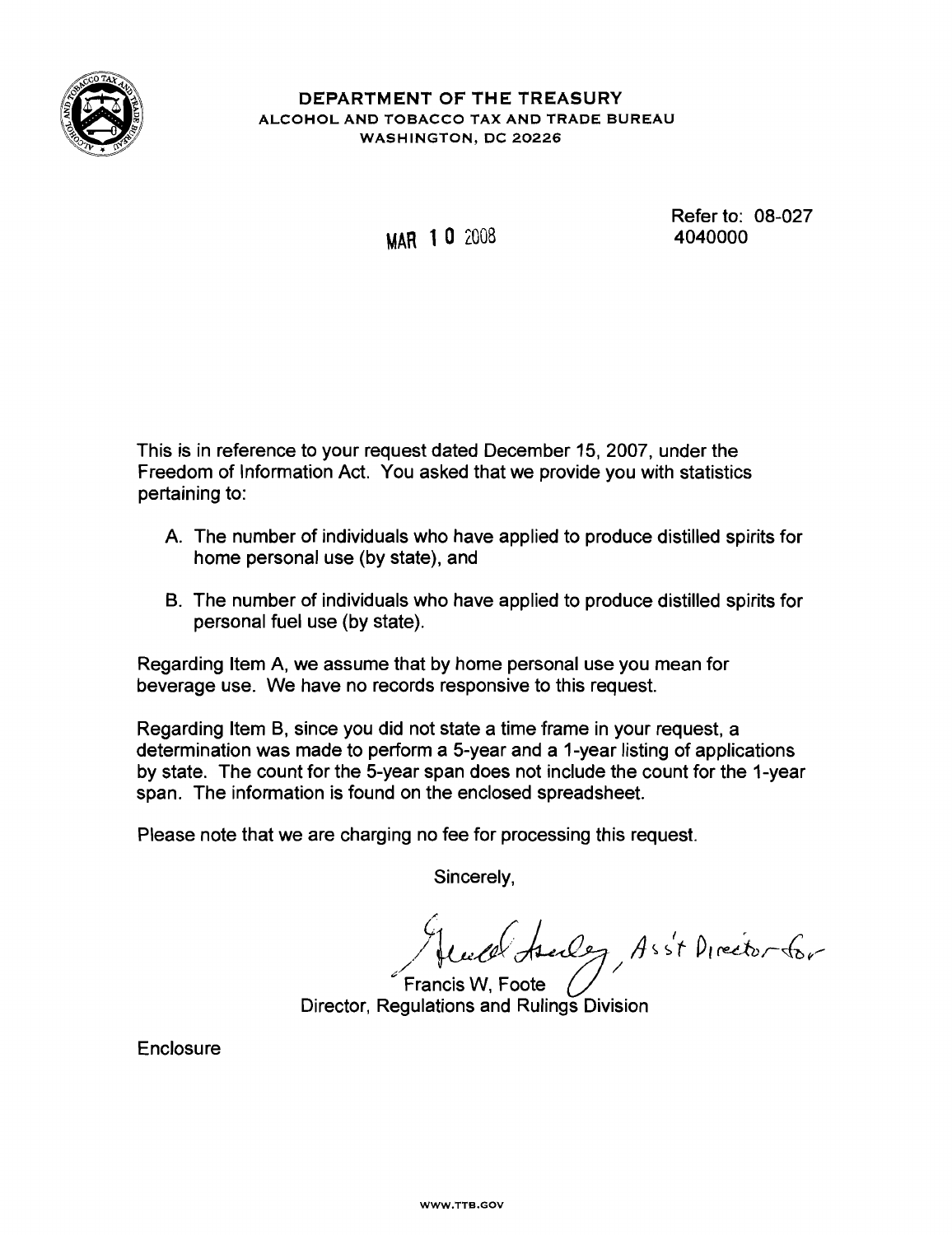

## DEPARTMENT OF THE TREASURY ALCOHOL AND TOBACCO TAX AND TRADE BUREAU WASHINGTON, DC 20226

## MAR 10 200B

Refer to: 08-027 4040000

This is in reference to your request dated December 15,2007, under the Freedom of Information Act. You asked that we provide you with statistics pertaining to:

- A. The number of individuals who have applied to produce distilled spirits for home personal use (by state), and
- B. The number of individuals who have applied to produce distilled spirits for personal fuel use (by state).

Regarding Item A, we assume that by home personal use you mean for beverage use. We have no records responsive to this request.

Regarding Item B, since you did not state a time frame in your request, a determination was made to perform a 5-year and a 1-year listing of applications by state. The count for the 5-year span does not include the count for the 1-year span. The information is found on the enclosed spreadsheet.

Please note that we are charging no fee for processing this request.

Sincerely,

~/ / well telles / Asst Director for

Francis W, Foote Director, Regulations and Rulings Division

Enclosure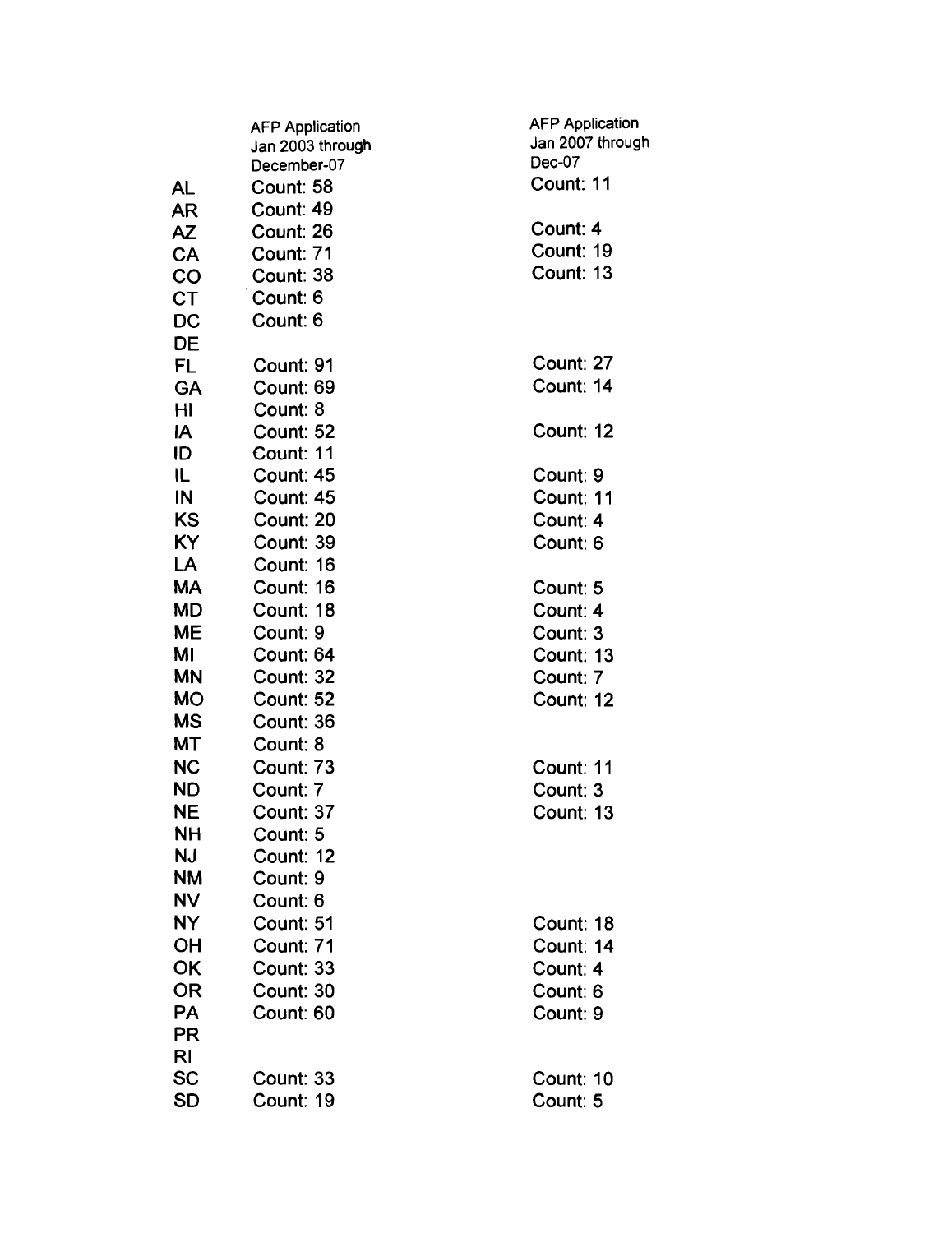|           | <b>AFP Application</b><br>Jan 2003 through | <b>AFP Application</b><br>Jan 2007 through |
|-----------|--------------------------------------------|--------------------------------------------|
|           | December-07                                | Dec-07                                     |
| AL        | Count: 58                                  | Count: 11                                  |
| AR        | Count: 49                                  |                                            |
| AZ        | Count: 26                                  | Count: 4                                   |
| CA        | Count: 71                                  | Count: 19                                  |
| CO        | Count: 38                                  | Count: 13                                  |
| <b>CT</b> | Count: 6                                   |                                            |
| DC        | Count: 6                                   |                                            |
| DE        |                                            |                                            |
| FL        | Count: 91                                  | Count: 27                                  |
| <b>GA</b> | Count: 69                                  | Count: 14                                  |
| HI        | Count: 8                                   |                                            |
| IA        | Count: 52                                  | Count: 12                                  |
| ID        | Count: 11                                  |                                            |
| IL.       | Count: 45                                  | Count: 9                                   |
| IN        | Count: 45                                  | Count: 11                                  |
| <b>KS</b> | Count: 20                                  | Count: 4                                   |
| KY        | Count: 39                                  | Count: 6                                   |
| LA        | Count: 16                                  |                                            |
| MA        | Count: 16                                  | Count: 5                                   |
| <b>MD</b> | Count: 18                                  | Count: 4                                   |
| <b>ME</b> | Count: 9                                   | Count: 3                                   |
| MI        | Count: 64                                  | Count: 13                                  |
| <b>MN</b> | Count: 32                                  | Count: 7                                   |
| <b>MO</b> | Count: 52                                  | Count: 12                                  |
| <b>MS</b> | Count: 36                                  |                                            |
| <b>MT</b> | Count: 8                                   |                                            |
| <b>NC</b> | Count: 73                                  | Count: 11                                  |
| <b>ND</b> | Count: 7                                   | Count: 3                                   |
| NE        | Count: 37                                  | Count: 13                                  |
| NΗ        | Count: 5                                   |                                            |
| NJ        | Count: 12                                  |                                            |
| <b>NM</b> | Count: 9                                   |                                            |
| <b>NV</b> | Count: 6                                   |                                            |
| NY        | Count: 51                                  | Count: 18                                  |
| <b>OH</b> | Count: 71                                  | Count: 14                                  |
| OK        | Count: 33                                  | Count: 4                                   |
| 0R        | Count: 30                                  | Count: 6                                   |
| <b>PA</b> | Count: 60                                  | Count: 9                                   |
| <b>PR</b> |                                            |                                            |
| RI        |                                            |                                            |
| <b>SC</b> | Count: 33                                  | Count: 10                                  |
| <b>SD</b> | Count: 19                                  | Count: 5                                   |